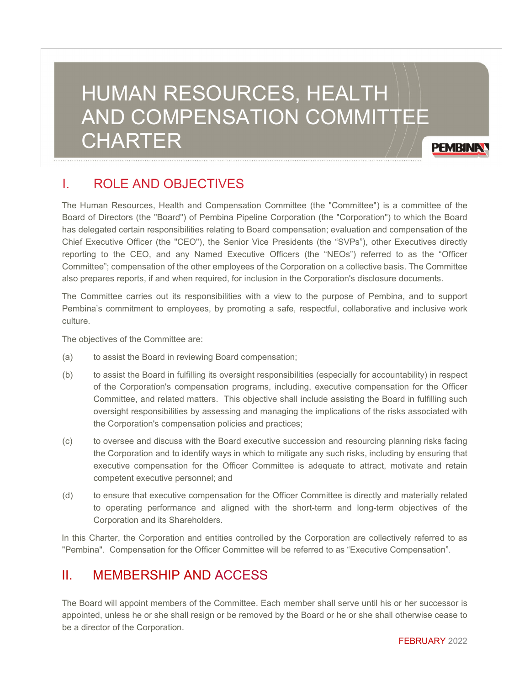# HUMAN RESOURCES, HEALTH AND COMPENSATION COMMITTEE **CHARTER**

# I. ROLE AND OBJECTIVES

The Human Resources, Health and Compensation Committee (the "Committee") is a committee of the Board of Directors (the "Board") of Pembina Pipeline Corporation (the "Corporation") to which the Board has delegated certain responsibilities relating to Board compensation; evaluation and compensation of the Chief Executive Officer (the "CEO"), the Senior Vice Presidents (the "SVPs"), other Executives directly reporting to the CEO, and any Named Executive Officers (the "NEOs") referred to as the "Officer Committee"; compensation of the other employees of the Corporation on a collective basis. The Committee also prepares reports, if and when required, for inclusion in the Corporation's disclosure documents.

The Committee carries out its responsibilities with a view to the purpose of Pembina, and to support Pembina's commitment to employees, by promoting a safe, respectful, collaborative and inclusive work culture.

The objectives of the Committee are:

- (a) to assist the Board in reviewing Board compensation;
- (b) to assist the Board in fulfilling its oversight responsibilities (especially for accountability) in respect of the Corporation's compensation programs, including, executive compensation for the Officer Committee, and related matters. This objective shall include assisting the Board in fulfilling such oversight responsibilities by assessing and managing the implications of the risks associated with the Corporation's compensation policies and practices;
- (c) to oversee and discuss with the Board executive succession and resourcing planning risks facing the Corporation and to identify ways in which to mitigate any such risks, including by ensuring that executive compensation for the Officer Committee is adequate to attract, motivate and retain competent executive personnel; and
- (d) to ensure that executive compensation for the Officer Committee is directly and materially related to operating performance and aligned with the short-term and long-term objectives of the Corporation and its Shareholders.

In this Charter, the Corporation and entities controlled by the Corporation are collectively referred to as "Pembina". Compensation for the Officer Committee will be referred to as "Executive Compensation".

## II. MEMBERSHIP AND ACCESS

The Board will appoint members of the Committee. Each member shall serve until his or her successor is appointed, unless he or she shall resign or be removed by the Board or he or she shall otherwise cease to be a director of the Corporation.

**PEMBINAY**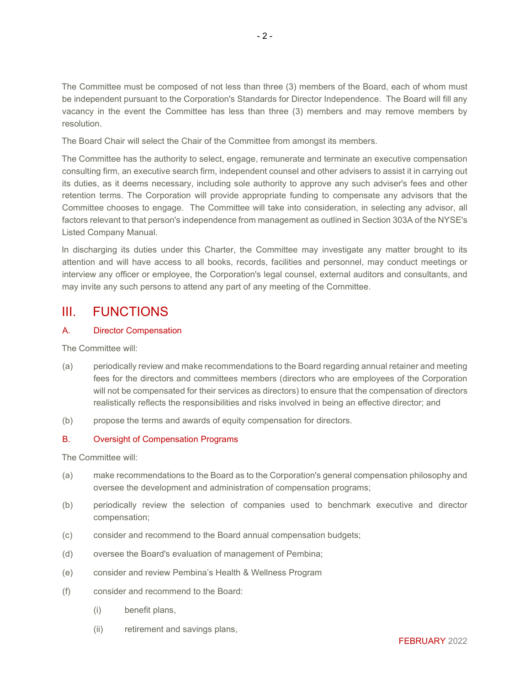The Committee must be composed of not less than three (3) members of the Board, each of whom must be independent pursuant to the Corporation's Standards for Director Independence. The Board will fill any vacancy in the event the Committee has less than three (3) members and may remove members by resolution.

The Board Chair will select the Chair of the Committee from amongst its members.

The Committee has the authority to select, engage, remunerate and terminate an executive compensation consulting firm, an executive search firm, independent counsel and other advisers to assist it in carrying out its duties, as it deems necessary, including sole authority to approve any such adviser's fees and other retention terms. The Corporation will provide appropriate funding to compensate any advisors that the Committee chooses to engage. The Committee will take into consideration, in selecting any advisor, all factors relevant to that person's independence from management as outlined in Section 303A of the NYSE's Listed Company Manual.

In discharging its duties under this Charter, the Committee may investigate any matter brought to its attention and will have access to all books, records, facilities and personnel, may conduct meetings or interview any officer or employee, the Corporation's legal counsel, external auditors and consultants, and may invite any such persons to attend any part of any meeting of the Committee.

### III. FUNCTIONS

#### A. Director Compensation

The Committee will:

- (a) periodically review and make recommendations to the Board regarding annual retainer and meeting fees for the directors and committees members (directors who are employees of the Corporation will not be compensated for their services as directors) to ensure that the compensation of directors realistically reflects the responsibilities and risks involved in being an effective director; and
- (b) propose the terms and awards of equity compensation for directors.

#### B. Oversight of Compensation Programs

The Committee will:

- (a) make recommendations to the Board as to the Corporation's general compensation philosophy and oversee the development and administration of compensation programs;
- (b) periodically review the selection of companies used to benchmark executive and director compensation;
- (c) consider and recommend to the Board annual compensation budgets;
- (d) oversee the Board's evaluation of management of Pembina;
- (e) consider and review Pembina's Health & Wellness Program
- (f) consider and recommend to the Board:
	- (i) benefit plans,
	- (ii) retirement and savings plans,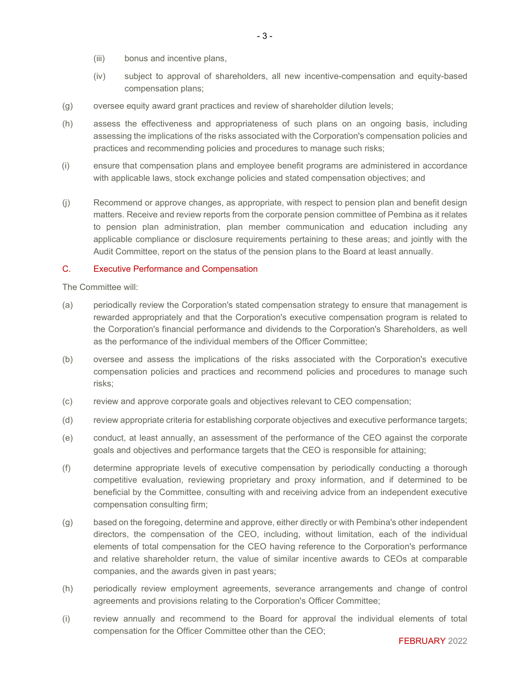- (iii) bonus and incentive plans,
- (iv) subject to approval of shareholders, all new incentive-compensation and equity-based compensation plans;
- (g) oversee equity award grant practices and review of shareholder dilution levels;
- (h) assess the effectiveness and appropriateness of such plans on an ongoing basis, including assessing the implications of the risks associated with the Corporation's compensation policies and practices and recommending policies and procedures to manage such risks;
- (i) ensure that compensation plans and employee benefit programs are administered in accordance with applicable laws, stock exchange policies and stated compensation objectives; and
- (j) Recommend or approve changes, as appropriate, with respect to pension plan and benefit design matters. Receive and review reports from the corporate pension committee of Pembina as it relates to pension plan administration, plan member communication and education including any applicable compliance or disclosure requirements pertaining to these areas; and jointly with the Audit Committee, report on the status of the pension plans to the Board at least annually.

#### C. Executive Performance and Compensation

The Committee will:

- (a) periodically review the Corporation's stated compensation strategy to ensure that management is rewarded appropriately and that the Corporation's executive compensation program is related to the Corporation's financial performance and dividends to the Corporation's Shareholders, as well as the performance of the individual members of the Officer Committee;
- (b) oversee and assess the implications of the risks associated with the Corporation's executive compensation policies and practices and recommend policies and procedures to manage such risks;
- (c) review and approve corporate goals and objectives relevant to CEO compensation;
- (d) review appropriate criteria for establishing corporate objectives and executive performance targets;
- (e) conduct, at least annually, an assessment of the performance of the CEO against the corporate goals and objectives and performance targets that the CEO is responsible for attaining;
- (f) determine appropriate levels of executive compensation by periodically conducting a thorough competitive evaluation, reviewing proprietary and proxy information, and if determined to be beneficial by the Committee, consulting with and receiving advice from an independent executive compensation consulting firm;
- (g) based on the foregoing, determine and approve, either directly or with Pembina's other independent directors, the compensation of the CEO, including, without limitation, each of the individual elements of total compensation for the CEO having reference to the Corporation's performance and relative shareholder return, the value of similar incentive awards to CEOs at comparable companies, and the awards given in past years;
- (h) periodically review employment agreements, severance arrangements and change of control agreements and provisions relating to the Corporation's Officer Committee;
- (i) review annually and recommend to the Board for approval the individual elements of total compensation for the Officer Committee other than the CEO;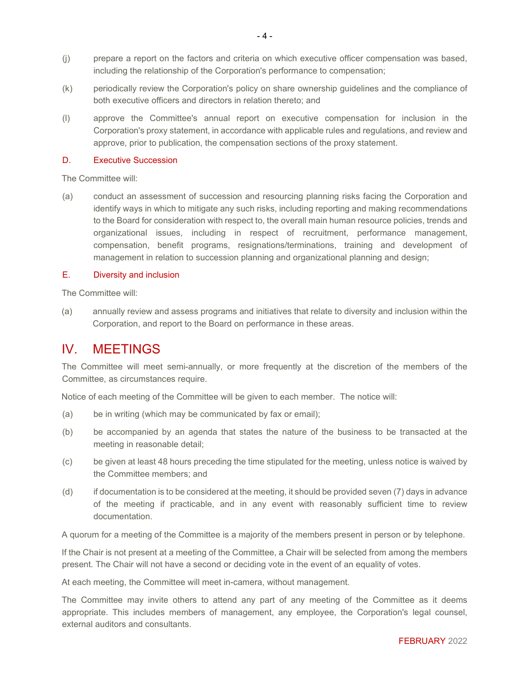- (j) prepare a report on the factors and criteria on which executive officer compensation was based, including the relationship of the Corporation's performance to compensation;
- (k) periodically review the Corporation's policy on share ownership guidelines and the compliance of both executive officers and directors in relation thereto; and
- (l) approve the Committee's annual report on executive compensation for inclusion in the Corporation's proxy statement, in accordance with applicable rules and regulations, and review and approve, prior to publication, the compensation sections of the proxy statement.

#### D. Executive Succession

The Committee will:

(a) conduct an assessment of succession and resourcing planning risks facing the Corporation and identify ways in which to mitigate any such risks, including reporting and making recommendations to the Board for consideration with respect to, the overall main human resource policies, trends and organizational issues, including in respect of recruitment, performance management, compensation, benefit programs, resignations/terminations, training and development of management in relation to succession planning and organizational planning and design;

#### E. Diversity and inclusion

The Committee will:

(a) annually review and assess programs and initiatives that relate to diversity and inclusion within the Corporation, and report to the Board on performance in these areas.

### IV. MEETINGS

The Committee will meet semi-annually, or more frequently at the discretion of the members of the Committee, as circumstances require.

Notice of each meeting of the Committee will be given to each member. The notice will:

- (a) be in writing (which may be communicated by fax or email);
- (b) be accompanied by an agenda that states the nature of the business to be transacted at the meeting in reasonable detail;
- (c) be given at least 48 hours preceding the time stipulated for the meeting, unless notice is waived by the Committee members; and
- (d) if documentation is to be considered at the meeting, it should be provided seven (7) days in advance of the meeting if practicable, and in any event with reasonably sufficient time to review documentation.

A quorum for a meeting of the Committee is a majority of the members present in person or by telephone.

If the Chair is not present at a meeting of the Committee, a Chair will be selected from among the members present. The Chair will not have a second or deciding vote in the event of an equality of votes.

At each meeting, the Committee will meet in-camera, without management.

The Committee may invite others to attend any part of any meeting of the Committee as it deems appropriate. This includes members of management, any employee, the Corporation's legal counsel, external auditors and consultants.